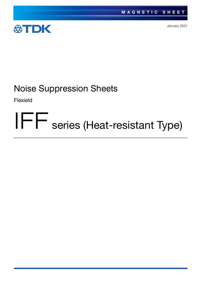

January 2021

# Noise Suppression Sheets

Flexield

# IFF series (Heat-resistant Type)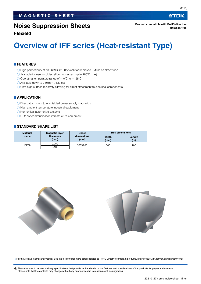# **Noise Suppression Sheets**

**Flexield**

# **Overview of IFF series (Heat-resistant Type)**

#### **FEATURES**

- $\bigcirc$  High permeability at 13.56MHz ( $\mu$ ' 80typical) for improved EMI noise absorption
- Available for use in solder reflow processes (up to 260°C max)
- O Operating temperature range of  $-40^{\circ}$ C to  $+125^{\circ}$ C
- Available down to 0.05mm thickness
- Ultra-high surface resistivity allowing for direct attachment to electrical components

#### **APPLICATION**

- O Direct attachment to unshielded power supply magnetics
- $\bigcirc$  High ambient temperature industrial equipment
- O Non-critical automotive systems
- O Outdoor communication infrastructure equipment

#### **STANDARD SHAPE LIST**

| <b>Material</b> | <b>Magnetic layer</b> | <b>Sheet</b>       | <b>Roll dimensions</b> |               |  |
|-----------------|-----------------------|--------------------|------------------------|---------------|--|
| name            | thickness<br>(mm)     | dimensions<br>(mm) | Width<br>(mm)          | Length<br>(m) |  |
| IFF08           | 0.050                 | 300X200            | 300                    | 100           |  |
|                 | 0.100                 |                    |                        |               |  |



RoHS Directive Compliant Product: See the following for more details related to RoHS Directive compliant products. http://product.tdk.com/en/environment/rohs/

t Please be sure to request delivery specifications that provide further details on the features and specifications of the products for proper and safe use. Please note that the contents may change without any prior notice due to reasons such as upgrading.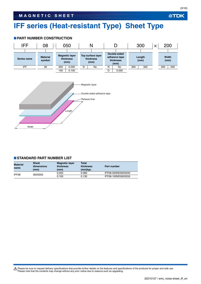# **IFF series (Heat-resistant Type) Sheet Type**

#### **PART NUMBER CONSTRUCTION**



#### **STANDARD PART NUMBER LIST**

| <b>Material</b><br>name | <b>Sheet</b><br>dimensions<br>(mm) | <b>Magnetic layer</b><br>thickness<br>(mm) | <b>Total</b><br>thickness<br>(mm)typ. | Part number        |
|-------------------------|------------------------------------|--------------------------------------------|---------------------------------------|--------------------|
| IFF08                   | 300X200                            | 0.050                                      | 0.080                                 | IFF08-050ND300X200 |
|                         |                                    | 0.100                                      | 0.130                                 | IFF08-100ND300X200 |

Please be sure to request delivery specifications that provide further details on the features and specifications of the products for proper and safe use.<br>Please note that the contents may change without any prior notice d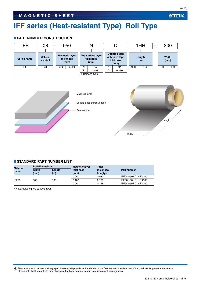# **IFF series (Heat-resistant Type) Roll Type**

#### **PART NUMBER CONSTRUCTION**



#### **STANDARD PART NUMBER LIST**

| <b>Material</b><br>name | <b>Roll dimensions</b> |               | <b>Magnetic layer</b> | Total                 |                    |  |
|-------------------------|------------------------|---------------|-----------------------|-----------------------|--------------------|--|
|                         | <b>Width</b><br>(mm)   | Length<br>(m) | thickness<br>(mm)     | thickness<br>(mm)typ. | Part number        |  |
|                         |                        |               | 0.050                 | 0.080                 | IFF08-050ND1HRX300 |  |
| IFF08                   | 300                    | 100           | 0.100                 | 0.130                 | IFF08-100ND1HRX300 |  |
|                         |                        |               | 0.050                 | $0.118*$              | IFF08-050RD1HRX300 |  |

Note:Including top surface layer

Please be sure to request delivery specifications that provide further details on the features and specifications of the products for proper and safe use.<br>Please note that the contents may change without any prior notice d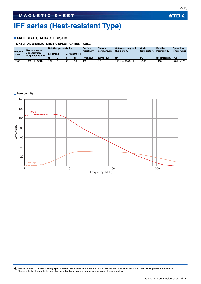**公TDK** 

# **IFF series (Heat-resistant Type)**

#### **MATERIAL CHARACTERISTIC**

#### **MATERIAL CHARACTERISTIC SPECIFICATION TABLE**

| <b>Material</b><br>name | Recommended<br>specification<br>frequency range | <b>Relative permeability</b> |  |                      | <b>Surface</b><br>resistivity | <b>Thermal</b><br>conductivity | <b>Saturated magnetic</b><br>flux density | Curie<br>temperature | <b>Relative</b><br><b>Permittivity</b> | Operating<br>temperature |                 |
|-------------------------|-------------------------------------------------|------------------------------|--|----------------------|-------------------------------|--------------------------------|-------------------------------------------|----------------------|----------------------------------------|--------------------------|-----------------|
|                         |                                                 | <b>Tat 1MHz1</b>             |  | <b>Tat 13.56MHz1</b> |                               |                                |                                           |                      |                                        |                          |                 |
|                         |                                                 |                              |  |                      | .u"                           | $($ <sup>Ω</sup> /sq.)typ.     | $(W/m \cdot K)$                           | (mT)                 | (°C)                                   | (at 1MHz)tvp.            | $(^{\circ}C)$   |
| IFF08                   | 10MHz to 3GHz                                   | 102                          |  | 80                   | 30                            | 1M                             | .5                                        | 150 [H=1194A/m]      | > 500                                  | 1400                     | $-40$ to $+125$ |

#### **Permeability**

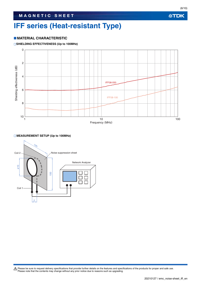# **IFF series (Heat-resistant Type)**

#### **MATERIAL CHARACTERISTIC**

#### **SHIELDING EFFECTIVENESS (Up to 100MHz)**



#### **MEASUREMENT SETUP (Up to 100MHz)**

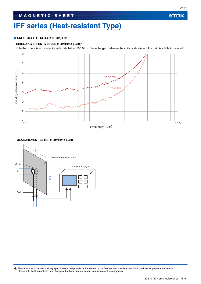公TDK

# **IFF series (Heat-resistant Type)**

#### **MATERIAL CHARACTERISTIC**

#### **SHIELDING EFFECTIVENESS (100MHz to 6GHz)**

Note that there is no continuity with data below 100 MHz. Since the gap between the coils is shortened, the gain is a little increased.



#### **MEASUREMENT SETUP (100MHz to 6GHz)**

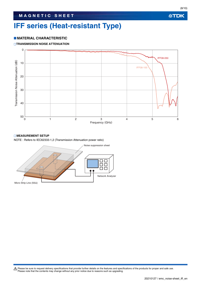# **IFF series (Heat-resistant Type)**

#### **MATERIAL CHARACTERISTIC**

#### **TRANSMISSION NOISE ATTENUATION**



#### **MEASUREMENT SETUP**

NOTE : Refers to IEC62333-1,2 (Transmission Attenuation power ratio)

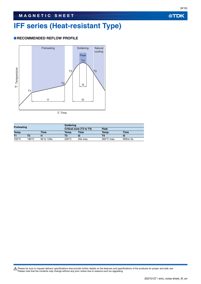# **IFF series (Heat-resistant Type)**

#### **RECOMMENDED REFLOW PROFILE**



t: Time

| Preheating      |       |             | Soldering       |                          |                      |             |  |  |
|-----------------|-------|-------------|-----------------|--------------------------|----------------------|-------------|--|--|
|                 |       |             |                 | Critical zone (T3 to T4) | Peak                 |             |  |  |
| Temp.           |       | <b>Time</b> | Temp.           | <b>Time</b>              | Temp.                | <b>Time</b> |  |  |
| T1              |       |             | Т3              |                          | Τ4                   |             |  |  |
| $150^{\circ}$ C | 180°C | 60 to 120s  | $230^{\circ}$ C | 40s max.                 | $260^{\circ}$ C max. | Within 5s   |  |  |

Please be sure to request delivery specifications that provide further details on the features and specifications of the products for proper and safe use.<br>Please note that the contents may change without any prior notice d